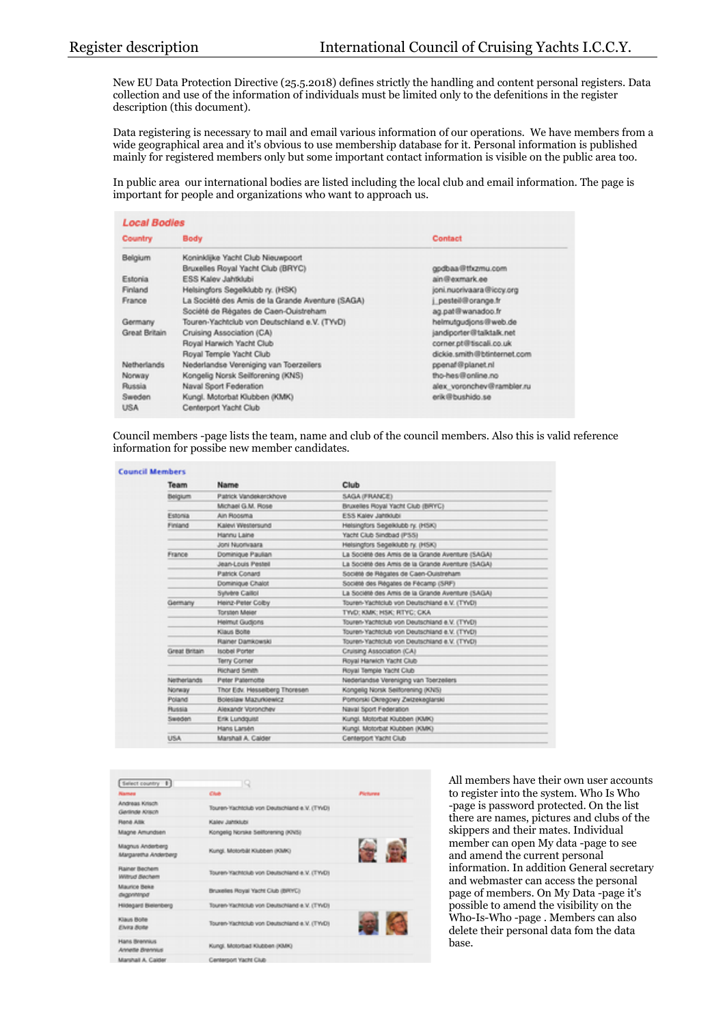New EU Data Protection Directive (25.5.2018) defines strictly the handling and content personal registers. Data collection and use of the information of individuals must be limited only to the defenitions in the register description (this document).

Data registering is necessary to mail and email various information of our operations. We have members from a wide geographical area and it's obvious to use membership database for it. Personal information is published mainly for registered members only but some important contact information is visible on the public area too.

In public area our international bodies are listed including the local club and email information. The page is important for people and organizations who want to approach us.

| <b>Local Bodies</b> |                                                  |                             |  |
|---------------------|--------------------------------------------------|-----------------------------|--|
| <b>Country</b>      | <b>Body</b>                                      | Contact                     |  |
| Belgium             | Koninklijke Yacht Club Nieuwpoort                |                             |  |
|                     | Bruxelles Royal Yacht Club (BRYC)                | godbaa@tfxzmu.com           |  |
| Estonia             | ESS Kaley Jahridubi                              | ain@exmark.ee               |  |
| Finland             | Helsingfors Segelklubb ry. (HSK)                 | joni.nuorivaara@iccy.org    |  |
| France              | La Société des Amis de la Grande Aventure (SAGA) | pesteil@orange.fr           |  |
|                     | Société de Régates de Caen-Ouistreham            | ag.pat@wanadoo.fr           |  |
| Germany             | Touren-Yachtclub von Deutschland e.V. (TYvD)     | helmutgudjons@web.de        |  |
| Great Britain       | Cruising Association (CA)                        | jandiporter@talktalk.net    |  |
|                     | Royal Harwich Yacht Club                         | corner.pt@tiscali.co.uk     |  |
|                     | Royal Temple Yacht Club                          | dickie.smith@btinternet.com |  |
| Netherlands         | Nederlandse Vereniging van Toerzeilers           | ppenaf@planet.nl            |  |
| Nonway              | Kongelig Norsk Seilforening (KNS)                | tho-hes@online.no           |  |
| Russia              | Naval Sport Federation                           | alex_voronchev@rambler.ru   |  |
| Sweden              | Kungl. Motorbat Klubben (KMK)                    | erik@bushido.se             |  |
| <b>USA</b>          | Centerport Yacht Club                            |                             |  |

Council members -page lists the team, name and club of the council members. Also this is valid reference information for possibe new member candidates.

| Team           | Name                          | Club                                             |
|----------------|-------------------------------|--------------------------------------------------|
|                |                               |                                                  |
| <b>Beigkum</b> | Patrick Vandekerckhove        | SAGA (FRANCE)                                    |
|                | Michael G.M. Rose             | Bruxelles Royal Yacht Club (BRYC)                |
| Estonia        | Ain Roosma                    | ESS Kaley Jahtklubi                              |
| <b>Finland</b> | Kalevi Westersund             | Helsingfors Segelklubb ry. (HSK)                 |
|                | Hannu Laine                   | Yacht Club Sindbad (PSS)                         |
|                | Joni Nuonvaara                | Helsingtors Segelklubb ry. (HSK)                 |
| France         | Dominique Paulian             | La Société des Amis de la Grande Aventure (SAGA) |
|                | Jean-Louis Pestell            | La Société des Amis de la Grande Aventure (SAGA) |
|                | Patrick Conard                | Societé de Régates de Caen-Ouistreham            |
|                | Dominique Chalot              | Societé des Régates de Fécamp (SRF)              |
|                | Sylvere Calliot               | La Société des Amis de la Grande Aventure (SAGA) |
| Germany        | Heinz-Peter Colby             | Touren-Yachtclub von Deutschland e.V. (TYVD)     |
|                | <b>Torsten Meier</b>          | TWO: KMK; HSK; RTYC; CKA                         |
|                | Helmut Gudjons                | Touren-Yachtclub von Deutschland e.V. (TYVD)     |
|                | Klaus Bolte                   | Touren-Yachtclub von Deutschland e.V. (TYVD)     |
|                | Rainer Damkowski              | Touren-Yachtclub von Deutschland e.V. (TYVD)     |
| Great Britain  | <b>Isobel Porter</b>          | Cruising Association (CA)                        |
|                | <b>Terry Corner</b>           | Royal Harwich Yacht Club                         |
|                | Richard Smith                 | Royal Temple Yacht Club                          |
| Netherlands    | Peter Paternotte              | Nederlandse Vereniging van Toerzeilers           |
| Norway         | Thor Edv. Hesselberg Thoresen | Kongelig Norsk Selforening (KNS)                 |
| Poland         | Boleslaw Mazurkiewicz         | Pomorski Okregowy Zwizekeglarski                 |
| Russia         | Alexandr Voronchev            | Naval Sport Federation                           |
| Sweden         | Erik Lundquist                | Kungi. Motorbat Klubben (KMK)                    |
|                | Hans Larsen                   | Kungl, Motorbat Klubben (KMK)                    |
| <b>USA</b>     | Marshall A. Calder            | Centerport Yacht Club                            |

| Select country 1                         | Q                                            |                 |
|------------------------------------------|----------------------------------------------|-----------------|
| <b><i><u>Games</u></i></b>               | Club                                         | <b>Pichares</b> |
| Andreas Krisch<br>Gerlinde Krisch        | Touren-Yachtclub von Deutschland e.V. (TWD)  |                 |
| <b>Florid Allik</b>                      | Kaley Jahrklubi                              |                 |
| Magne Amundsen                           | Kongelig Norske Selforening (KNS)            |                 |
| Magnus Anderberg<br>Margaretha Anderberg | Kungi. Motorbilit Kilubben (KMK)             |                 |
| Rainer Bechem<br>Willinud Bachem         | Touren-Yachtclub von Deutschland e.V. (TWD)  |                 |
| Maurice Bean<br>degoviningat             | Bruxelles Royal Yacht Club (BRYC)            |                 |
| Hidegard Bielenberg                      | Touren-Yachtclub von Deutschland e.V. (TWD)  |                 |
| Klaus Bolte<br>EWA Bobl                  | Touren-Yachtclub von Deutschland e.V. (TYVD) |                 |
| Hans Brennius<br>Annelle Brennius        | Kungi. Motorbad Klubben (KMK)                |                 |
| Manihall A. Calder                       | Centerson Yacht Club                         |                 |

All members have their own user accounts to register into the system. Who Is Who -page is password protected. On the list there are names, pictures and clubs of the skippers and their mates. Individual member can open My data -page to see and amend the current personal information. In addition General secretary and webmaster can access the personal page of members. On My Data -page it's possible to amend the visibility on the Who-Is-Who -page . Members can also delete their personal data fom the data base.